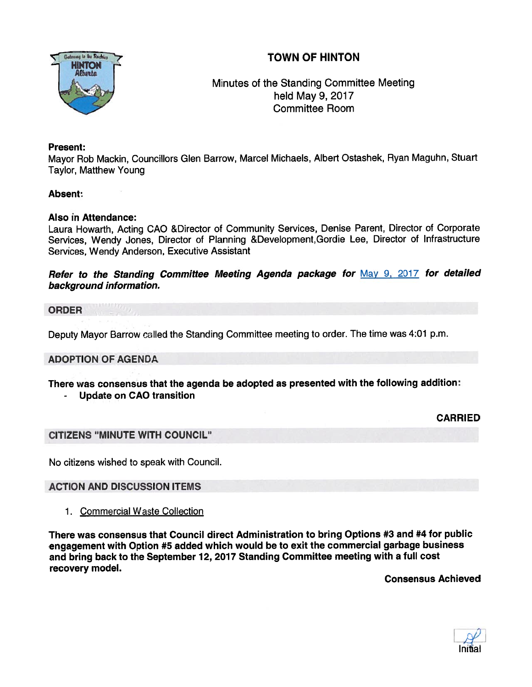



Minutes of the Standing Committee Meeting held May 9, 2017 Committee Room

# Present:

Mayor Rob Mackin, Councillors Glen Barrow, Marcel Michaels, Albert Ostashek, Ryan Maguhn, Stuart Taylor, Matthew Young

## Absent:

## Also in Attendance:

Laura Howarth, Acting CAO &Director of Community Services, Denise Parent, Director of Corporate Services, Wendy Jones, Director of Planning &Development,Gordie Lee, Director of Infrastructure Services, Wendy Anderson, Executive Assistant

Refer to the Standing Committee Meeting Agenda package for May 9, 2017 for detailed background information.

ORDER

Deputy Mayor Barrow called the Standing Committee meeting to order. The time was 4:01 p.m.

## ADOPTION OF AGENDA

There was consensus that the agenda be adopted as presented with the following addition: Update on CAO transition

CARRIED

#### CITIZENS "MINUTE WITH COUNCIL"

No citizens wished to speak with Council.

ACTION AND DISCUSSION ITEMS

1. Commercial Waste Collection

There was consensus that Council direct Administration to bring Options #3 and #4 for public engagemen<sup>t</sup> with Option #5 added which would be to exit the commercial garbage business and bring back to the September 12, <sup>2017</sup> Standing Committee meeting with <sup>a</sup> full cost recovery model.

Consensus Achieved